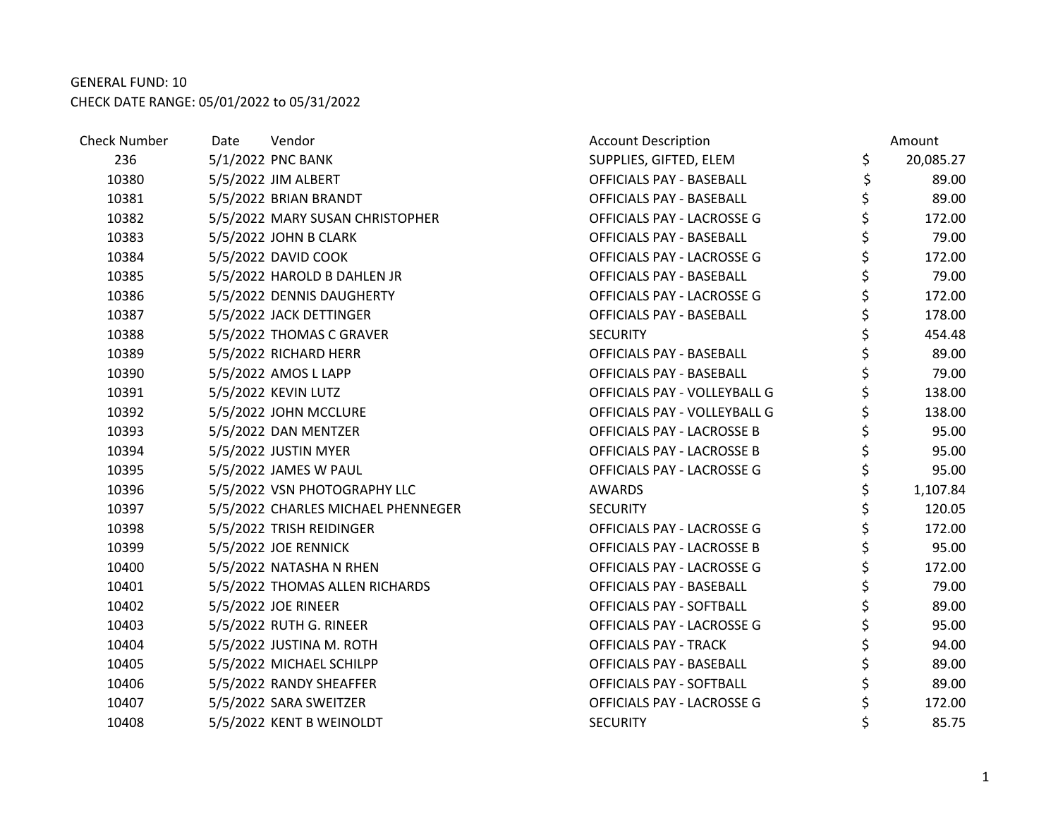| <b>Check Number</b> | Date | Vendor                             | <b>Account Description</b>      | Amount          |
|---------------------|------|------------------------------------|---------------------------------|-----------------|
| 236                 |      | 5/1/2022 PNC BANK                  | SUPPLIES, GIFTED, ELEM          | \$<br>20,085.27 |
| 10380               |      | 5/5/2022 JIM ALBERT                | <b>OFFICIALS PAY - BASEBALL</b> | \$<br>89.00     |
| 10381               |      | 5/5/2022 BRIAN BRANDT              | <b>OFFICIALS PAY - BASEBALL</b> | 89.00           |
| 10382               |      | 5/5/2022 MARY SUSAN CHRISTOPHER    | OFFICIALS PAY - LACROSSE G      | \$<br>172.00    |
| 10383               |      | 5/5/2022 JOHN B CLARK              | <b>OFFICIALS PAY - BASEBALL</b> | \$<br>79.00     |
| 10384               |      | 5/5/2022 DAVID COOK                | OFFICIALS PAY - LACROSSE G      | \$<br>172.00    |
| 10385               |      | 5/5/2022 HAROLD B DAHLEN JR        | <b>OFFICIALS PAY - BASEBALL</b> | \$<br>79.00     |
| 10386               |      | 5/5/2022 DENNIS DAUGHERTY          | OFFICIALS PAY - LACROSSE G      | \$<br>172.00    |
| 10387               |      | 5/5/2022 JACK DETTINGER            | <b>OFFICIALS PAY - BASEBALL</b> | \$<br>178.00    |
| 10388               |      | 5/5/2022 THOMAS C GRAVER           | <b>SECURITY</b>                 | \$<br>454.48    |
| 10389               |      | 5/5/2022 RICHARD HERR              | <b>OFFICIALS PAY - BASEBALL</b> | \$<br>89.00     |
| 10390               |      | 5/5/2022 AMOS L LAPP               | <b>OFFICIALS PAY - BASEBALL</b> | \$<br>79.00     |
| 10391               |      | 5/5/2022 KEVIN LUTZ                | OFFICIALS PAY - VOLLEYBALL G    | \$<br>138.00    |
| 10392               |      | 5/5/2022 JOHN MCCLURE              | OFFICIALS PAY - VOLLEYBALL G    | \$<br>138.00    |
| 10393               |      | 5/5/2022 DAN MENTZER               | OFFICIALS PAY - LACROSSE B      | \$<br>95.00     |
| 10394               |      | 5/5/2022 JUSTIN MYER               | OFFICIALS PAY - LACROSSE B      | \$<br>95.00     |
| 10395               |      | 5/5/2022 JAMES W PAUL              | OFFICIALS PAY - LACROSSE G      | \$<br>95.00     |
| 10396               |      | 5/5/2022 VSN PHOTOGRAPHY LLC       | <b>AWARDS</b>                   | 1,107.84        |
| 10397               |      | 5/5/2022 CHARLES MICHAEL PHENNEGER | <b>SECURITY</b>                 | \$<br>120.05    |
| 10398               |      | 5/5/2022 TRISH REIDINGER           | OFFICIALS PAY - LACROSSE G      | 172.00          |
| 10399               |      | 5/5/2022 JOE RENNICK               | OFFICIALS PAY - LACROSSE B      | \$<br>95.00     |
| 10400               |      | 5/5/2022 NATASHA N RHEN            | OFFICIALS PAY - LACROSSE G      | \$<br>172.00    |
| 10401               |      | 5/5/2022 THOMAS ALLEN RICHARDS     | <b>OFFICIALS PAY - BASEBALL</b> | \$<br>79.00     |
| 10402               |      | 5/5/2022 JOE RINEER                | <b>OFFICIALS PAY - SOFTBALL</b> | \$<br>89.00     |
| 10403               |      | 5/5/2022 RUTH G. RINEER            | OFFICIALS PAY - LACROSSE G      | 95.00           |
| 10404               |      | 5/5/2022 JUSTINA M. ROTH           | <b>OFFICIALS PAY - TRACK</b>    | \$<br>94.00     |
| 10405               |      | 5/5/2022 MICHAEL SCHILPP           | <b>OFFICIALS PAY - BASEBALL</b> | 89.00           |
| 10406               |      | 5/5/2022 RANDY SHEAFFER            | <b>OFFICIALS PAY - SOFTBALL</b> | \$<br>89.00     |
| 10407               |      | 5/5/2022 SARA SWEITZER             | OFFICIALS PAY - LACROSSE G      | \$<br>172.00    |
| 10408               |      | 5/5/2022 KENT B WEINOLDT           | <b>SECURITY</b>                 | 85.75           |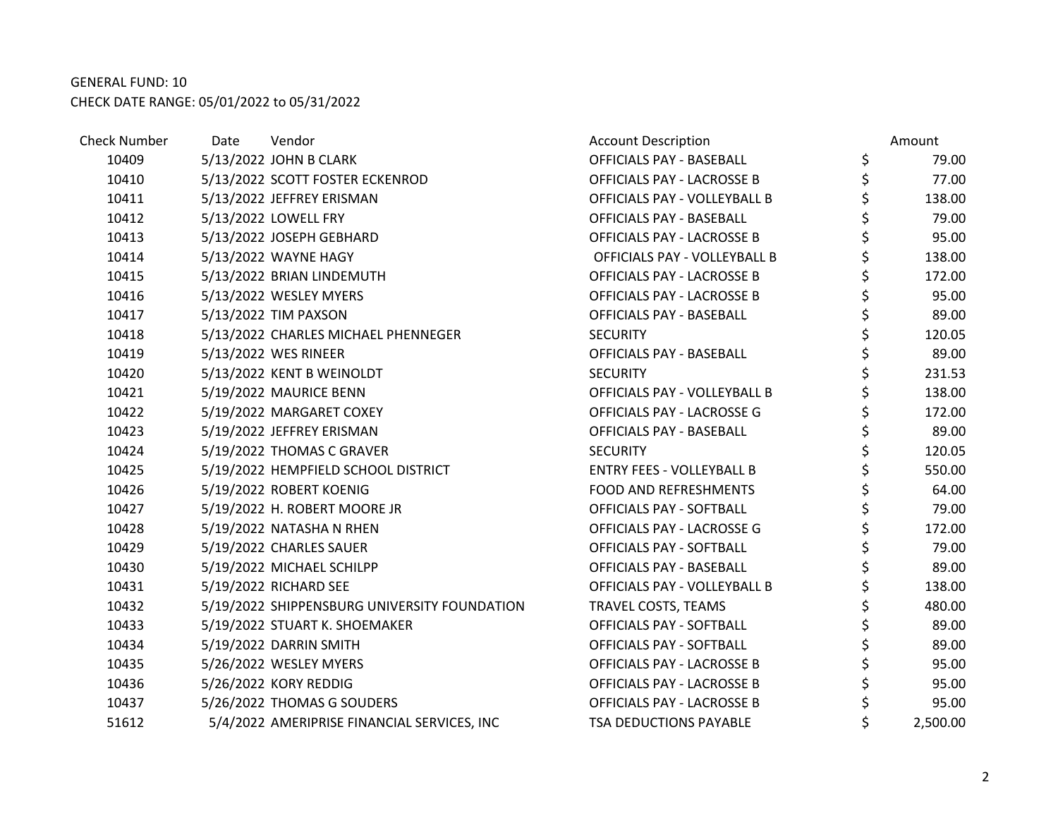| <b>Check Number</b> | Date | Vendor                                       | <b>Account Description</b>        | Amount         |
|---------------------|------|----------------------------------------------|-----------------------------------|----------------|
| 10409               |      | 5/13/2022 JOHN B CLARK                       | OFFICIALS PAY - BASEBALL          | \$<br>79.00    |
| 10410               |      | 5/13/2022 SCOTT FOSTER ECKENROD              | OFFICIALS PAY - LACROSSE B        | \$<br>77.00    |
| 10411               |      | 5/13/2022 JEFFREY ERISMAN                    | OFFICIALS PAY - VOLLEYBALL B      | \$<br>138.00   |
| 10412               |      | 5/13/2022 LOWELL FRY                         | <b>OFFICIALS PAY - BASEBALL</b>   | \$<br>79.00    |
| 10413               |      | 5/13/2022 JOSEPH GEBHARD                     | OFFICIALS PAY - LACROSSE B        | \$<br>95.00    |
| 10414               |      | 5/13/2022 WAYNE HAGY                         | OFFICIALS PAY - VOLLEYBALL B      | \$<br>138.00   |
| 10415               |      | 5/13/2022 BRIAN LINDEMUTH                    | OFFICIALS PAY - LACROSSE B        | \$<br>172.00   |
| 10416               |      | 5/13/2022 WESLEY MYERS                       | <b>OFFICIALS PAY - LACROSSE B</b> | \$<br>95.00    |
| 10417               |      | 5/13/2022 TIM PAXSON                         | <b>OFFICIALS PAY - BASEBALL</b>   | \$<br>89.00    |
| 10418               |      | 5/13/2022 CHARLES MICHAEL PHENNEGER          | <b>SECURITY</b>                   | \$<br>120.05   |
| 10419               |      | 5/13/2022 WES RINEER                         | <b>OFFICIALS PAY - BASEBALL</b>   | \$<br>89.00    |
| 10420               |      | 5/13/2022 KENT B WEINOLDT                    | <b>SECURITY</b>                   | \$<br>231.53   |
| 10421               |      | 5/19/2022 MAURICE BENN                       | OFFICIALS PAY - VOLLEYBALL B      | \$<br>138.00   |
| 10422               |      | 5/19/2022 MARGARET COXEY                     | OFFICIALS PAY - LACROSSE G        | \$<br>172.00   |
| 10423               |      | 5/19/2022 JEFFREY ERISMAN                    | <b>OFFICIALS PAY - BASEBALL</b>   | \$<br>89.00    |
| 10424               |      | 5/19/2022 THOMAS C GRAVER                    | <b>SECURITY</b>                   | \$<br>120.05   |
| 10425               |      | 5/19/2022 HEMPFIELD SCHOOL DISTRICT          | <b>ENTRY FEES - VOLLEYBALL B</b>  | \$<br>550.00   |
| 10426               |      | 5/19/2022 ROBERT KOENIG                      | <b>FOOD AND REFRESHMENTS</b>      | \$<br>64.00    |
| 10427               |      | 5/19/2022 H. ROBERT MOORE JR                 | <b>OFFICIALS PAY - SOFTBALL</b>   | \$<br>79.00    |
| 10428               |      | 5/19/2022 NATASHA N RHEN                     | OFFICIALS PAY - LACROSSE G        | \$<br>172.00   |
| 10429               |      | 5/19/2022 CHARLES SAUER                      | OFFICIALS PAY - SOFTBALL          | \$<br>79.00    |
| 10430               |      | 5/19/2022 MICHAEL SCHILPP                    | OFFICIALS PAY - BASEBALL          | \$<br>89.00    |
| 10431               |      | 5/19/2022 RICHARD SEE                        | OFFICIALS PAY - VOLLEYBALL B      | \$<br>138.00   |
| 10432               |      | 5/19/2022 SHIPPENSBURG UNIVERSITY FOUNDATION | TRAVEL COSTS, TEAMS               | \$<br>480.00   |
| 10433               |      | 5/19/2022 STUART K. SHOEMAKER                | <b>OFFICIALS PAY - SOFTBALL</b>   | 89.00          |
| 10434               |      | 5/19/2022 DARRIN SMITH                       | OFFICIALS PAY - SOFTBALL          | \$<br>89.00    |
| 10435               |      | 5/26/2022 WESLEY MYERS                       | OFFICIALS PAY - LACROSSE B        | \$<br>95.00    |
| 10436               |      | 5/26/2022 KORY REDDIG                        | OFFICIALS PAY - LACROSSE B        | \$<br>95.00    |
| 10437               |      | 5/26/2022 THOMAS G SOUDERS                   | OFFICIALS PAY - LACROSSE B        | \$<br>95.00    |
| 51612               |      | 5/4/2022 AMERIPRISE FINANCIAL SERVICES, INC  | <b>TSA DEDUCTIONS PAYABLE</b>     | \$<br>2,500.00 |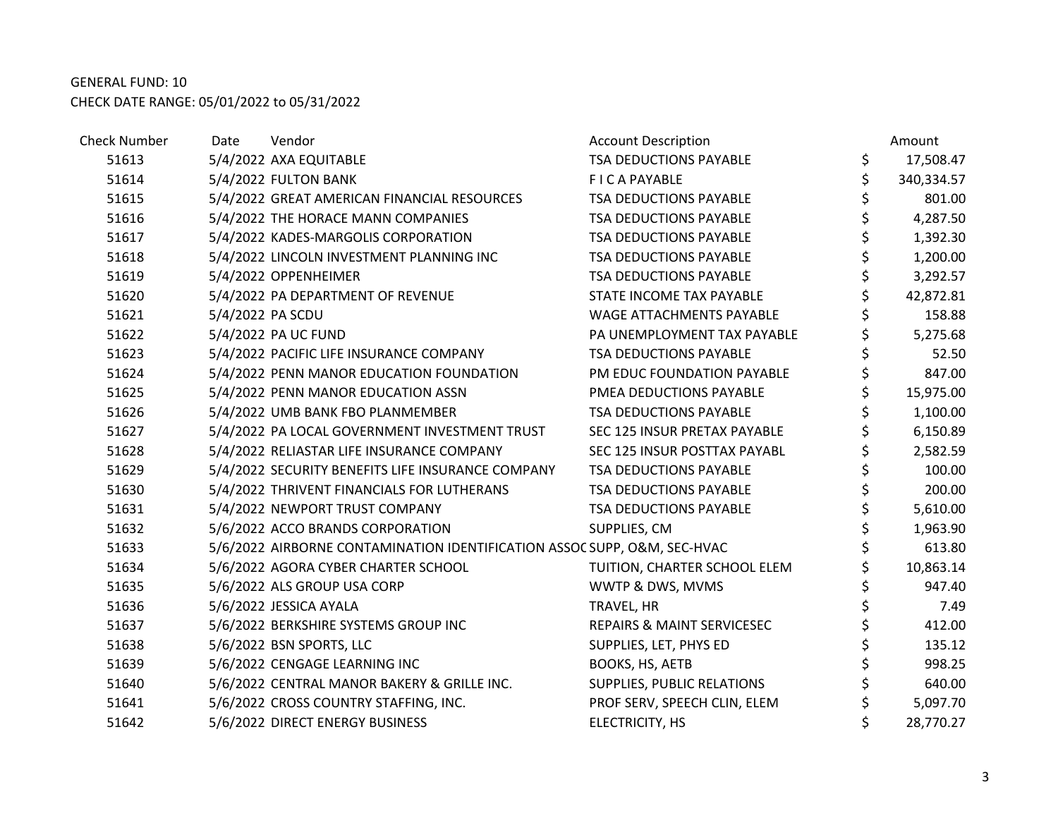| <b>Check Number</b> | Date             | Vendor                                                                   | <b>Account Description</b>   | Amount           |
|---------------------|------------------|--------------------------------------------------------------------------|------------------------------|------------------|
| 51613               |                  | 5/4/2022 AXA EQUITABLE                                                   | TSA DEDUCTIONS PAYABLE       | \$<br>17,508.47  |
| 51614               |                  | 5/4/2022 FULTON BANK                                                     | <b>FICA PAYABLE</b>          | \$<br>340,334.57 |
| 51615               |                  | 5/4/2022 GREAT AMERICAN FINANCIAL RESOURCES                              | TSA DEDUCTIONS PAYABLE       | 801.00           |
| 51616               |                  | 5/4/2022 THE HORACE MANN COMPANIES                                       | TSA DEDUCTIONS PAYABLE       | 4,287.50         |
| 51617               |                  | 5/4/2022 KADES-MARGOLIS CORPORATION                                      | TSA DEDUCTIONS PAYABLE       | \$<br>1,392.30   |
| 51618               |                  | 5/4/2022 LINCOLN INVESTMENT PLANNING INC                                 | TSA DEDUCTIONS PAYABLE       | 1,200.00         |
| 51619               |                  | 5/4/2022 OPPENHEIMER                                                     | TSA DEDUCTIONS PAYABLE       | \$<br>3,292.57   |
| 51620               |                  | 5/4/2022 PA DEPARTMENT OF REVENUE                                        | STATE INCOME TAX PAYABLE     | 42,872.81        |
| 51621               | 5/4/2022 PA SCDU |                                                                          | WAGE ATTACHMENTS PAYABLE     | 158.88           |
| 51622               |                  | 5/4/2022 PA UC FUND                                                      | PA UNEMPLOYMENT TAX PAYABLE  | 5,275.68         |
| 51623               |                  | 5/4/2022 PACIFIC LIFE INSURANCE COMPANY                                  | TSA DEDUCTIONS PAYABLE       | 52.50            |
| 51624               |                  | 5/4/2022 PENN MANOR EDUCATION FOUNDATION                                 | PM EDUC FOUNDATION PAYABLE   | 847.00           |
| 51625               |                  | 5/4/2022 PENN MANOR EDUCATION ASSN                                       | PMEA DEDUCTIONS PAYABLE      | 15,975.00        |
| 51626               |                  | 5/4/2022 UMB BANK FBO PLANMEMBER                                         | TSA DEDUCTIONS PAYABLE       | \$<br>1,100.00   |
| 51627               |                  | 5/4/2022 PA LOCAL GOVERNMENT INVESTMENT TRUST                            | SEC 125 INSUR PRETAX PAYABLE | 6,150.89         |
| 51628               |                  | 5/4/2022 RELIASTAR LIFE INSURANCE COMPANY                                | SEC 125 INSUR POSTTAX PAYABL | \$<br>2,582.59   |
| 51629               |                  | 5/4/2022 SECURITY BENEFITS LIFE INSURANCE COMPANY                        | TSA DEDUCTIONS PAYABLE       | 100.00           |
| 51630               |                  | 5/4/2022 THRIVENT FINANCIALS FOR LUTHERANS                               | TSA DEDUCTIONS PAYABLE       | 200.00           |
| 51631               |                  | 5/4/2022 NEWPORT TRUST COMPANY                                           | TSA DEDUCTIONS PAYABLE       | \$<br>5,610.00   |
| 51632               |                  | 5/6/2022 ACCO BRANDS CORPORATION                                         | SUPPLIES, CM                 | 1,963.90         |
| 51633               |                  | 5/6/2022 AIRBORNE CONTAMINATION IDENTIFICATION ASSOC SUPP, O&M, SEC-HVAC |                              | 613.80           |
| 51634               |                  | 5/6/2022 AGORA CYBER CHARTER SCHOOL                                      | TUITION, CHARTER SCHOOL ELEM | 10,863.14        |
| 51635               |                  | 5/6/2022 ALS GROUP USA CORP                                              | WWTP & DWS, MVMS             | 947.40           |
| 51636               |                  | 5/6/2022 JESSICA AYALA                                                   | TRAVEL, HR                   | 7.49             |
| 51637               |                  | 5/6/2022 BERKSHIRE SYSTEMS GROUP INC                                     | REPAIRS & MAINT SERVICESEC   | 412.00           |
| 51638               |                  | 5/6/2022 BSN SPORTS, LLC                                                 | SUPPLIES, LET, PHYS ED       | \$<br>135.12     |
| 51639               |                  | 5/6/2022 CENGAGE LEARNING INC                                            | BOOKS, HS, AETB              | 998.25           |
| 51640               |                  | 5/6/2022 CENTRAL MANOR BAKERY & GRILLE INC.                              | SUPPLIES, PUBLIC RELATIONS   | \$<br>640.00     |
| 51641               |                  | 5/6/2022 CROSS COUNTRY STAFFING, INC.                                    | PROF SERV, SPEECH CLIN, ELEM | \$<br>5,097.70   |
| 51642               |                  | 5/6/2022 DIRECT ENERGY BUSINESS                                          | ELECTRICITY, HS              | 28,770.27        |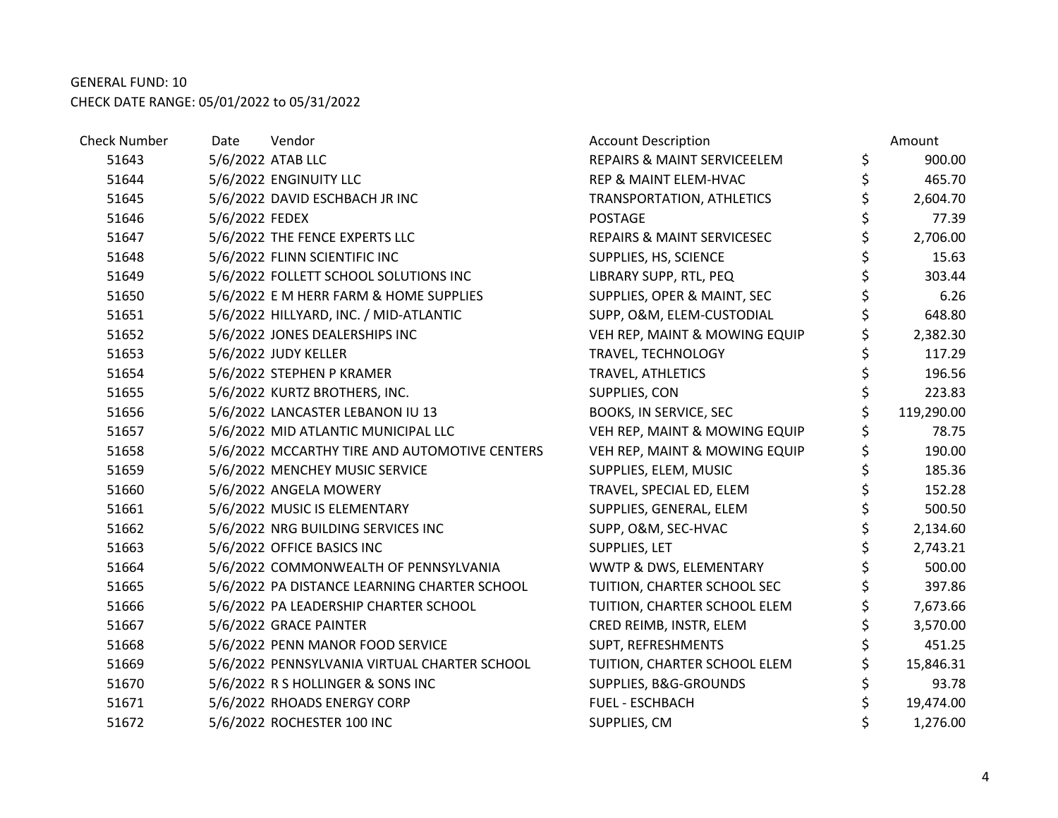| <b>Check Number</b> | Date           | Vendor                                        | <b>Account Description</b>             | Amount           |
|---------------------|----------------|-----------------------------------------------|----------------------------------------|------------------|
| 51643               |                | 5/6/2022 ATAB LLC                             | <b>REPAIRS &amp; MAINT SERVICEELEM</b> | \$<br>900.00     |
| 51644               |                | 5/6/2022 ENGINUITY LLC                        | REP & MAINT ELEM-HVAC                  | \$<br>465.70     |
| 51645               |                | 5/6/2022 DAVID ESCHBACH JR INC                | TRANSPORTATION, ATHLETICS              | \$<br>2,604.70   |
| 51646               | 5/6/2022 FEDEX |                                               | <b>POSTAGE</b>                         | \$<br>77.39      |
| 51647               |                | 5/6/2022 THE FENCE EXPERTS LLC                | REPAIRS & MAINT SERVICESEC             | \$<br>2,706.00   |
| 51648               |                | 5/6/2022 FLINN SCIENTIFIC INC                 | SUPPLIES, HS, SCIENCE                  | \$<br>15.63      |
| 51649               |                | 5/6/2022 FOLLETT SCHOOL SOLUTIONS INC         | LIBRARY SUPP, RTL, PEQ                 | \$<br>303.44     |
| 51650               |                | 5/6/2022 E M HERR FARM & HOME SUPPLIES        | SUPPLIES, OPER & MAINT, SEC            | \$<br>6.26       |
| 51651               |                | 5/6/2022 HILLYARD, INC. / MID-ATLANTIC        | SUPP, O&M, ELEM-CUSTODIAL              | \$<br>648.80     |
| 51652               |                | 5/6/2022 JONES DEALERSHIPS INC                | VEH REP, MAINT & MOWING EQUIP          | \$<br>2,382.30   |
| 51653               |                | 5/6/2022 JUDY KELLER                          | TRAVEL, TECHNOLOGY                     | \$<br>117.29     |
| 51654               |                | 5/6/2022 STEPHEN P KRAMER                     | TRAVEL, ATHLETICS                      | \$<br>196.56     |
| 51655               |                | 5/6/2022 KURTZ BROTHERS, INC.                 | SUPPLIES, CON                          | \$<br>223.83     |
| 51656               |                | 5/6/2022 LANCASTER LEBANON IU 13              | <b>BOOKS, IN SERVICE, SEC</b>          | \$<br>119,290.00 |
| 51657               |                | 5/6/2022 MID ATLANTIC MUNICIPAL LLC           | VEH REP, MAINT & MOWING EQUIP          | 78.75            |
| 51658               |                | 5/6/2022 MCCARTHY TIRE AND AUTOMOTIVE CENTERS | VEH REP, MAINT & MOWING EQUIP          | \$<br>190.00     |
| 51659               |                | 5/6/2022 MENCHEY MUSIC SERVICE                | SUPPLIES, ELEM, MUSIC                  | \$<br>185.36     |
| 51660               |                | 5/6/2022 ANGELA MOWERY                        | TRAVEL, SPECIAL ED, ELEM               | \$<br>152.28     |
| 51661               |                | 5/6/2022 MUSIC IS ELEMENTARY                  | SUPPLIES, GENERAL, ELEM                | \$<br>500.50     |
| 51662               |                | 5/6/2022 NRG BUILDING SERVICES INC            | SUPP, O&M, SEC-HVAC                    | \$<br>2,134.60   |
| 51663               |                | 5/6/2022 OFFICE BASICS INC                    | SUPPLIES, LET                          | \$<br>2,743.21   |
| 51664               |                | 5/6/2022 COMMONWEALTH OF PENNSYLVANIA         | WWTP & DWS, ELEMENTARY                 | \$<br>500.00     |
| 51665               |                | 5/6/2022 PA DISTANCE LEARNING CHARTER SCHOOL  | TUITION, CHARTER SCHOOL SEC            | \$<br>397.86     |
| 51666               |                | 5/6/2022 PA LEADERSHIP CHARTER SCHOOL         | TUITION, CHARTER SCHOOL ELEM           | \$<br>7,673.66   |
| 51667               |                | 5/6/2022 GRACE PAINTER                        | CRED REIMB, INSTR, ELEM                | \$<br>3,570.00   |
| 51668               |                | 5/6/2022 PENN MANOR FOOD SERVICE              | SUPT, REFRESHMENTS                     | 451.25           |
| 51669               |                | 5/6/2022 PENNSYLVANIA VIRTUAL CHARTER SCHOOL  | TUITION, CHARTER SCHOOL ELEM           | 15,846.31        |
| 51670               |                | 5/6/2022 R S HOLLINGER & SONS INC             | SUPPLIES, B&G-GROUNDS                  | \$<br>93.78      |
| 51671               |                | 5/6/2022 RHOADS ENERGY CORP                   | <b>FUEL - ESCHBACH</b>                 | \$<br>19,474.00  |
| 51672               |                | 5/6/2022 ROCHESTER 100 INC                    | SUPPLIES, CM                           | 1,276.00         |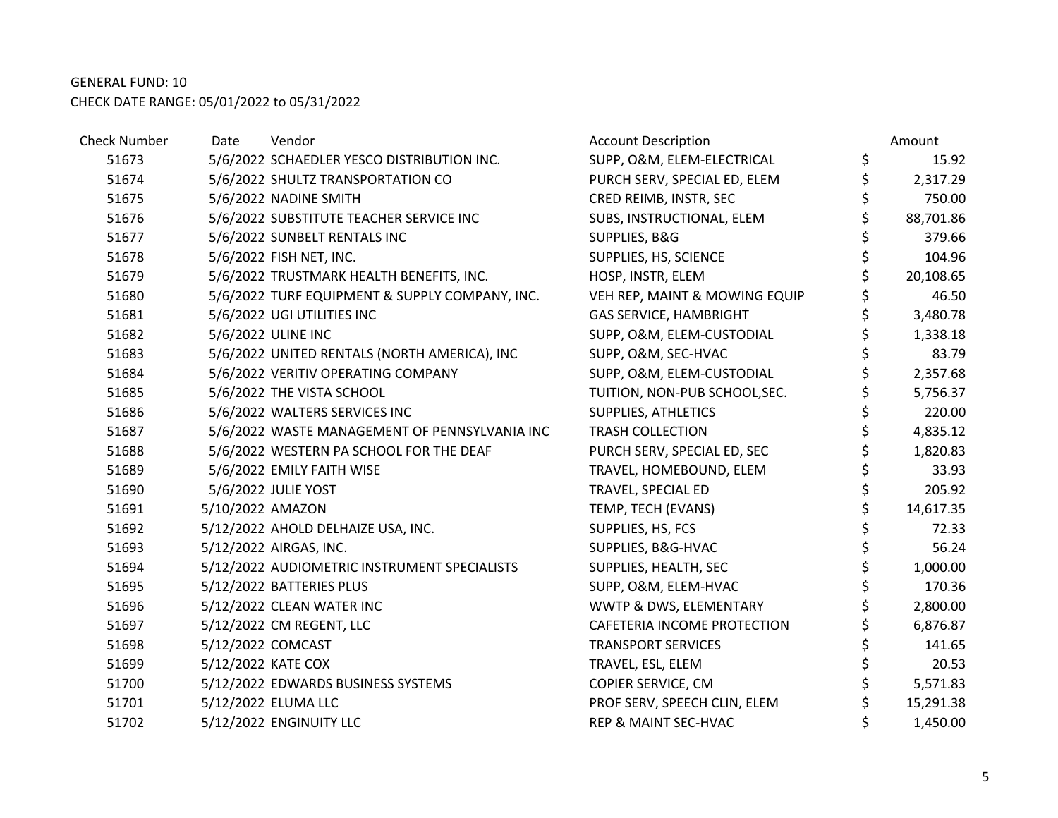| Check Number | Date             | Vendor                                         | <b>Account Description</b>      |    | Amount    |
|--------------|------------------|------------------------------------------------|---------------------------------|----|-----------|
| 51673        |                  | 5/6/2022 SCHAEDLER YESCO DISTRIBUTION INC.     | SUPP, O&M, ELEM-ELECTRICAL      | \$ | 15.92     |
| 51674        |                  | 5/6/2022 SHULTZ TRANSPORTATION CO              | PURCH SERV, SPECIAL ED, ELEM    | \$ | 2,317.29  |
| 51675        |                  | 5/6/2022 NADINE SMITH                          | CRED REIMB, INSTR, SEC          | \$ | 750.00    |
| 51676        |                  | 5/6/2022 SUBSTITUTE TEACHER SERVICE INC        | SUBS, INSTRUCTIONAL, ELEM       | \$ | 88,701.86 |
| 51677        |                  | 5/6/2022 SUNBELT RENTALS INC                   | SUPPLIES, B&G                   | \$ | 379.66    |
| 51678        |                  | 5/6/2022 FISH NET, INC.                        | SUPPLIES, HS, SCIENCE           | \$ | 104.96    |
| 51679        |                  | 5/6/2022 TRUSTMARK HEALTH BENEFITS, INC.       | HOSP, INSTR, ELEM               | Ś  | 20,108.65 |
| 51680        |                  | 5/6/2022 TURF EQUIPMENT & SUPPLY COMPANY, INC. | VEH REP, MAINT & MOWING EQUIP   |    | 46.50     |
| 51681        |                  | 5/6/2022 UGI UTILITIES INC                     | <b>GAS SERVICE, HAMBRIGHT</b>   | \$ | 3,480.78  |
| 51682        |                  | 5/6/2022 ULINE INC                             | SUPP, O&M, ELEM-CUSTODIAL       | \$ | 1,338.18  |
| 51683        |                  | 5/6/2022 UNITED RENTALS (NORTH AMERICA), INC   | SUPP, O&M, SEC-HVAC             | \$ | 83.79     |
| 51684        |                  | 5/6/2022 VERITIV OPERATING COMPANY             | SUPP, O&M, ELEM-CUSTODIAL       | \$ | 2,357.68  |
| 51685        |                  | 5/6/2022 THE VISTA SCHOOL                      | TUITION, NON-PUB SCHOOL, SEC.   | \$ | 5,756.37  |
| 51686        |                  | 5/6/2022 WALTERS SERVICES INC                  | SUPPLIES, ATHLETICS             | \$ | 220.00    |
| 51687        |                  | 5/6/2022 WASTE MANAGEMENT OF PENNSYLVANIA INC  | <b>TRASH COLLECTION</b>         | \$ | 4,835.12  |
| 51688        |                  | 5/6/2022 WESTERN PA SCHOOL FOR THE DEAF        | PURCH SERV, SPECIAL ED, SEC     | \$ | 1,820.83  |
| 51689        |                  | 5/6/2022 EMILY FAITH WISE                      | TRAVEL, HOMEBOUND, ELEM         | \$ | 33.93     |
| 51690        |                  | 5/6/2022 JULIE YOST                            | TRAVEL, SPECIAL ED              | \$ | 205.92    |
| 51691        | 5/10/2022 AMAZON |                                                | TEMP, TECH (EVANS)              | \$ | 14,617.35 |
| 51692        |                  | 5/12/2022 AHOLD DELHAIZE USA, INC.             | SUPPLIES, HS, FCS               | \$ | 72.33     |
| 51693        |                  | 5/12/2022 AIRGAS, INC.                         | SUPPLIES, B&G-HVAC              | \$ | 56.24     |
| 51694        |                  | 5/12/2022 AUDIOMETRIC INSTRUMENT SPECIALISTS   | SUPPLIES, HEALTH, SEC           | \$ | 1,000.00  |
| 51695        |                  | 5/12/2022 BATTERIES PLUS                       | SUPP, O&M, ELEM-HVAC            | \$ | 170.36    |
| 51696        |                  | 5/12/2022 CLEAN WATER INC                      | WWTP & DWS, ELEMENTARY          | \$ | 2,800.00  |
| 51697        |                  | 5/12/2022 CM REGENT, LLC                       | CAFETERIA INCOME PROTECTION     | \$ | 6,876.87  |
| 51698        |                  | 5/12/2022 COMCAST                              | <b>TRANSPORT SERVICES</b>       | \$ | 141.65    |
| 51699        |                  | 5/12/2022 KATE COX                             | TRAVEL, ESL, ELEM               | \$ | 20.53     |
| 51700        |                  | 5/12/2022 EDWARDS BUSINESS SYSTEMS             | COPIER SERVICE, CM              | \$ | 5,571.83  |
| 51701        |                  | 5/12/2022 ELUMA LLC                            | PROF SERV, SPEECH CLIN, ELEM    | \$ | 15,291.38 |
| 51702        |                  | 5/12/2022 ENGINUITY LLC                        | <b>REP &amp; MAINT SEC-HVAC</b> |    | 1,450.00  |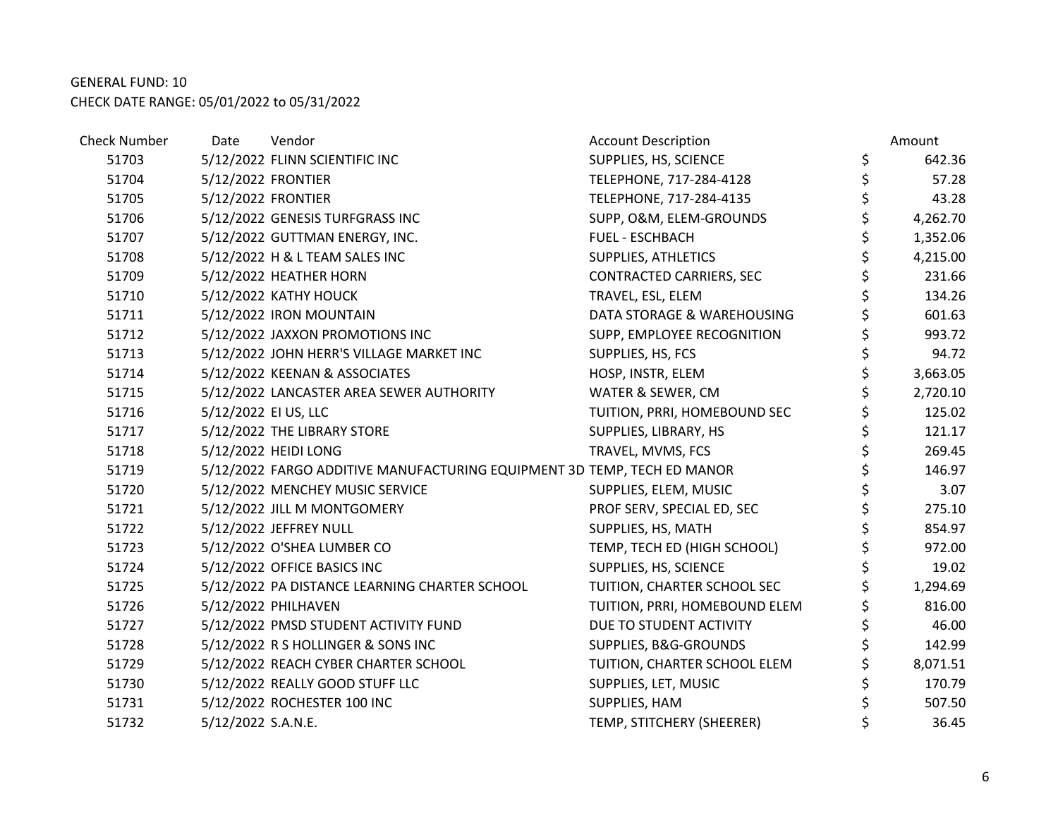| <b>Check Number</b> | Date                 | Vendor                                                                  | <b>Account Description</b>    | Amount         |
|---------------------|----------------------|-------------------------------------------------------------------------|-------------------------------|----------------|
| 51703               |                      | 5/12/2022 FLINN SCIENTIFIC INC                                          | SUPPLIES, HS, SCIENCE         | \$<br>642.36   |
| 51704               | 5/12/2022 FRONTIER   |                                                                         | TELEPHONE, 717-284-4128       | \$<br>57.28    |
| 51705               | 5/12/2022 FRONTIER   |                                                                         | TELEPHONE, 717-284-4135       | \$<br>43.28    |
| 51706               |                      | 5/12/2022 GENESIS TURFGRASS INC                                         | SUPP, O&M, ELEM-GROUNDS       | \$<br>4,262.70 |
| 51707               |                      | 5/12/2022 GUTTMAN ENERGY, INC.                                          | <b>FUEL - ESCHBACH</b>        | \$<br>1,352.06 |
| 51708               |                      | 5/12/2022 H & L TEAM SALES INC                                          | SUPPLIES, ATHLETICS           | \$<br>4,215.00 |
| 51709               |                      | 5/12/2022 HEATHER HORN                                                  | CONTRACTED CARRIERS, SEC      | \$<br>231.66   |
| 51710               |                      | 5/12/2022 KATHY HOUCK                                                   | TRAVEL, ESL, ELEM             | \$<br>134.26   |
| 51711               |                      | 5/12/2022 IRON MOUNTAIN                                                 | DATA STORAGE & WAREHOUSING    | \$<br>601.63   |
| 51712               |                      | 5/12/2022 JAXXON PROMOTIONS INC                                         | SUPP, EMPLOYEE RECOGNITION    | \$<br>993.72   |
| 51713               |                      | 5/12/2022 JOHN HERR'S VILLAGE MARKET INC                                | SUPPLIES, HS, FCS             | \$<br>94.72    |
| 51714               |                      | 5/12/2022 KEENAN & ASSOCIATES                                           | HOSP, INSTR, ELEM             | \$<br>3,663.05 |
| 51715               |                      | 5/12/2022 LANCASTER AREA SEWER AUTHORITY                                | WATER & SEWER, CM             | \$<br>2,720.10 |
| 51716               | 5/12/2022 EI US, LLC |                                                                         | TUITION, PRRI, HOMEBOUND SEC  | \$<br>125.02   |
| 51717               |                      | 5/12/2022 THE LIBRARY STORE                                             | SUPPLIES, LIBRARY, HS         | \$<br>121.17   |
| 51718               |                      | 5/12/2022 HEIDI LONG                                                    | TRAVEL, MVMS, FCS             | \$<br>269.45   |
| 51719               |                      | 5/12/2022 FARGO ADDITIVE MANUFACTURING EQUIPMENT 3D TEMP, TECH ED MANOR |                               | \$<br>146.97   |
| 51720               |                      | 5/12/2022 MENCHEY MUSIC SERVICE                                         | SUPPLIES, ELEM, MUSIC         | \$<br>3.07     |
| 51721               |                      | 5/12/2022 JILL M MONTGOMERY                                             | PROF SERV, SPECIAL ED, SEC    | \$<br>275.10   |
| 51722               |                      | 5/12/2022 JEFFREY NULL                                                  | SUPPLIES, HS, MATH            | \$<br>854.97   |
| 51723               |                      | 5/12/2022 O'SHEA LUMBER CO                                              | TEMP, TECH ED (HIGH SCHOOL)   | \$<br>972.00   |
| 51724               |                      | 5/12/2022 OFFICE BASICS INC                                             | SUPPLIES, HS, SCIENCE         | \$<br>19.02    |
| 51725               |                      | 5/12/2022 PA DISTANCE LEARNING CHARTER SCHOOL                           | TUITION, CHARTER SCHOOL SEC   | \$<br>1,294.69 |
| 51726               |                      | 5/12/2022 PHILHAVEN                                                     | TUITION, PRRI, HOMEBOUND ELEM | \$<br>816.00   |
| 51727               |                      | 5/12/2022 PMSD STUDENT ACTIVITY FUND                                    | DUE TO STUDENT ACTIVITY       | \$<br>46.00    |
| 51728               |                      | 5/12/2022 R S HOLLINGER & SONS INC                                      | SUPPLIES, B&G-GROUNDS         | \$<br>142.99   |
| 51729               |                      | 5/12/2022 REACH CYBER CHARTER SCHOOL                                    | TUITION, CHARTER SCHOOL ELEM  | \$<br>8,071.51 |
| 51730               |                      | 5/12/2022 REALLY GOOD STUFF LLC                                         | SUPPLIES, LET, MUSIC          | \$<br>170.79   |
| 51731               |                      | 5/12/2022 ROCHESTER 100 INC                                             | SUPPLIES, HAM                 | \$<br>507.50   |
| 51732               | 5/12/2022 S.A.N.E.   |                                                                         | TEMP, STITCHERY (SHEERER)     | \$<br>36.45    |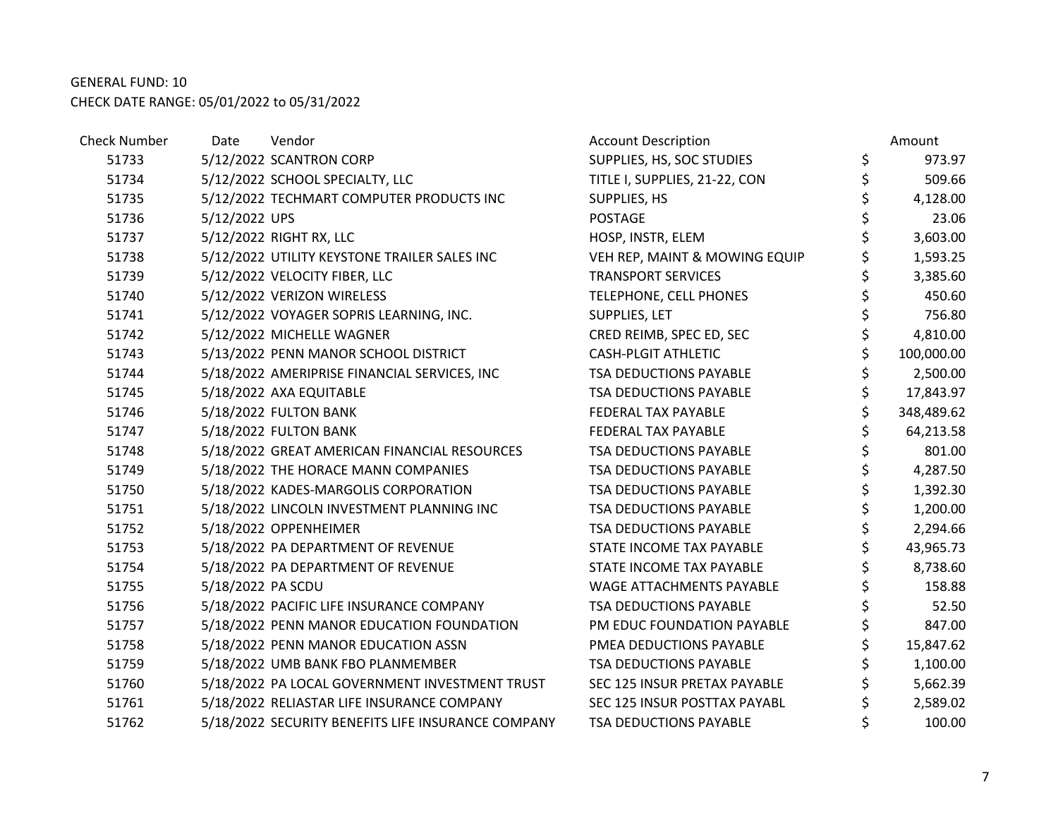| <b>Check Number</b> | Date              | Vendor                                             | <b>Account Description</b>    |    | Amount     |
|---------------------|-------------------|----------------------------------------------------|-------------------------------|----|------------|
| 51733               |                   | 5/12/2022 SCANTRON CORP                            | SUPPLIES, HS, SOC STUDIES     | \$ | 973.97     |
| 51734               |                   | 5/12/2022 SCHOOL SPECIALTY, LLC                    | TITLE I, SUPPLIES, 21-22, CON | \$ | 509.66     |
| 51735               |                   | 5/12/2022 TECHMART COMPUTER PRODUCTS INC           | SUPPLIES, HS                  | \$ | 4,128.00   |
| 51736               | 5/12/2022 UPS     |                                                    | <b>POSTAGE</b>                |    | 23.06      |
| 51737               |                   | 5/12/2022 RIGHT RX, LLC                            | HOSP, INSTR, ELEM             | Ś  | 3,603.00   |
| 51738               |                   | 5/12/2022 UTILITY KEYSTONE TRAILER SALES INC       | VEH REP, MAINT & MOWING EQUIP |    | 1,593.25   |
| 51739               |                   | 5/12/2022 VELOCITY FIBER, LLC                      | <b>TRANSPORT SERVICES</b>     | \$ | 3,385.60   |
| 51740               |                   | 5/12/2022 VERIZON WIRELESS                         | TELEPHONE, CELL PHONES        |    | 450.60     |
| 51741               |                   | 5/12/2022 VOYAGER SOPRIS LEARNING, INC.            | SUPPLIES, LET                 | \$ | 756.80     |
| 51742               |                   | 5/12/2022 MICHELLE WAGNER                          | CRED REIMB, SPEC ED, SEC      | \$ | 4,810.00   |
| 51743               |                   | 5/13/2022 PENN MANOR SCHOOL DISTRICT               | <b>CASH-PLGIT ATHLETIC</b>    |    | 100,000.00 |
| 51744               |                   | 5/18/2022 AMERIPRISE FINANCIAL SERVICES, INC       | TSA DEDUCTIONS PAYABLE        |    | 2,500.00   |
| 51745               |                   | 5/18/2022 AXA EQUITABLE                            | TSA DEDUCTIONS PAYABLE        |    | 17,843.97  |
| 51746               |                   | 5/18/2022 FULTON BANK                              | FEDERAL TAX PAYABLE           | \$ | 348,489.62 |
| 51747               |                   | 5/18/2022 FULTON BANK                              | FEDERAL TAX PAYABLE           |    | 64,213.58  |
| 51748               |                   | 5/18/2022 GREAT AMERICAN FINANCIAL RESOURCES       | TSA DEDUCTIONS PAYABLE        | \$ | 801.00     |
| 51749               |                   | 5/18/2022 THE HORACE MANN COMPANIES                | <b>TSA DEDUCTIONS PAYABLE</b> | \$ | 4,287.50   |
| 51750               |                   | 5/18/2022 KADES-MARGOLIS CORPORATION               | TSA DEDUCTIONS PAYABLE        | \$ | 1,392.30   |
| 51751               |                   | 5/18/2022 LINCOLN INVESTMENT PLANNING INC          | TSA DEDUCTIONS PAYABLE        | \$ | 1,200.00   |
| 51752               |                   | 5/18/2022 OPPENHEIMER                              | TSA DEDUCTIONS PAYABLE        | \$ | 2,294.66   |
| 51753               |                   | 5/18/2022 PA DEPARTMENT OF REVENUE                 | STATE INCOME TAX PAYABLE      |    | 43,965.73  |
| 51754               |                   | 5/18/2022 PA DEPARTMENT OF REVENUE                 | STATE INCOME TAX PAYABLE      |    | 8,738.60   |
| 51755               | 5/18/2022 PA SCDU |                                                    | WAGE ATTACHMENTS PAYABLE      |    | 158.88     |
| 51756               |                   | 5/18/2022 PACIFIC LIFE INSURANCE COMPANY           | TSA DEDUCTIONS PAYABLE        | \$ | 52.50      |
| 51757               |                   | 5/18/2022 PENN MANOR EDUCATION FOUNDATION          | PM EDUC FOUNDATION PAYABLE    | \$ | 847.00     |
| 51758               |                   | 5/18/2022 PENN MANOR EDUCATION ASSN                | PMEA DEDUCTIONS PAYABLE       |    | 15,847.62  |
| 51759               |                   | 5/18/2022 UMB BANK FBO PLANMEMBER                  | TSA DEDUCTIONS PAYABLE        |    | 1,100.00   |
| 51760               |                   | 5/18/2022 PA LOCAL GOVERNMENT INVESTMENT TRUST     | SEC 125 INSUR PRETAX PAYABLE  | \$ | 5,662.39   |
| 51761               |                   | 5/18/2022 RELIASTAR LIFE INSURANCE COMPANY         | SEC 125 INSUR POSTTAX PAYABL  |    | 2,589.02   |
| 51762               |                   | 5/18/2022 SECURITY BENEFITS LIFE INSURANCE COMPANY | TSA DEDUCTIONS PAYABLE        |    | 100.00     |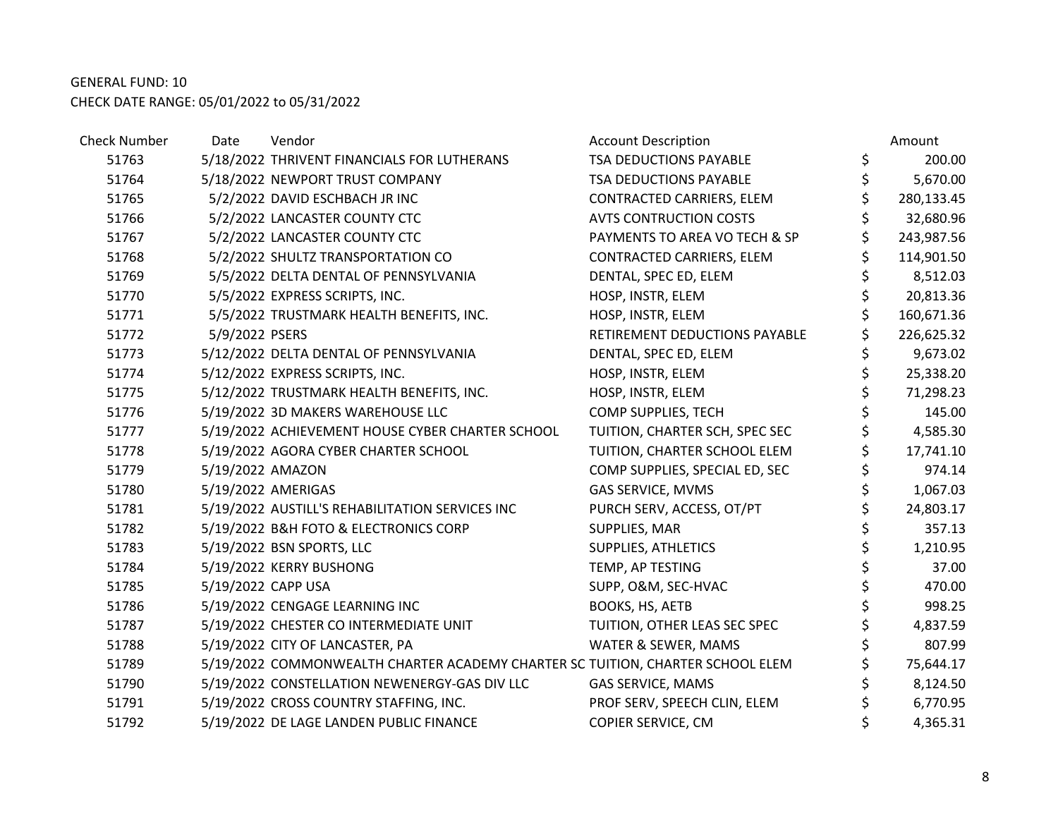| <b>Check Number</b> | Date               | Vendor                                                                         | <b>Account Description</b>     | Amount           |
|---------------------|--------------------|--------------------------------------------------------------------------------|--------------------------------|------------------|
| 51763               |                    | 5/18/2022 THRIVENT FINANCIALS FOR LUTHERANS                                    | TSA DEDUCTIONS PAYABLE         | \$<br>200.00     |
| 51764               |                    | 5/18/2022 NEWPORT TRUST COMPANY                                                | TSA DEDUCTIONS PAYABLE         | \$<br>5,670.00   |
| 51765               |                    | 5/2/2022 DAVID ESCHBACH JR INC                                                 | CONTRACTED CARRIERS, ELEM      | \$<br>280,133.45 |
| 51766               |                    | 5/2/2022 LANCASTER COUNTY CTC                                                  | <b>AVTS CONTRUCTION COSTS</b>  | 32,680.96        |
| 51767               |                    | 5/2/2022 LANCASTER COUNTY CTC                                                  | PAYMENTS TO AREA VO TECH & SP  | \$<br>243,987.56 |
| 51768               |                    | 5/2/2022 SHULTZ TRANSPORTATION CO                                              | CONTRACTED CARRIERS, ELEM      | \$<br>114,901.50 |
| 51769               |                    | 5/5/2022 DELTA DENTAL OF PENNSYLVANIA                                          | DENTAL, SPEC ED, ELEM          | \$<br>8,512.03   |
| 51770               |                    | 5/5/2022 EXPRESS SCRIPTS, INC.                                                 | HOSP, INSTR, ELEM              | 20,813.36        |
| 51771               |                    | 5/5/2022 TRUSTMARK HEALTH BENEFITS, INC.                                       | HOSP, INSTR, ELEM              | 160,671.36       |
| 51772               | 5/9/2022 PSERS     |                                                                                | RETIREMENT DEDUCTIONS PAYABLE  | 226,625.32       |
| 51773               |                    | 5/12/2022 DELTA DENTAL OF PENNSYLVANIA                                         | DENTAL, SPEC ED, ELEM          | 9,673.02         |
| 51774               |                    | 5/12/2022 EXPRESS SCRIPTS, INC.                                                | HOSP, INSTR, ELEM              | \$<br>25,338.20  |
| 51775               |                    | 5/12/2022 TRUSTMARK HEALTH BENEFITS, INC.                                      | HOSP, INSTR, ELEM              | \$<br>71,298.23  |
| 51776               |                    | 5/19/2022 3D MAKERS WAREHOUSE LLC                                              | COMP SUPPLIES, TECH            | \$<br>145.00     |
| 51777               |                    | 5/19/2022 ACHIEVEMENT HOUSE CYBER CHARTER SCHOOL                               | TUITION, CHARTER SCH, SPEC SEC | \$<br>4,585.30   |
| 51778               |                    | 5/19/2022 AGORA CYBER CHARTER SCHOOL                                           | TUITION, CHARTER SCHOOL ELEM   | \$<br>17,741.10  |
| 51779               | 5/19/2022 AMAZON   |                                                                                | COMP SUPPLIES, SPECIAL ED, SEC | \$<br>974.14     |
| 51780               |                    | 5/19/2022 AMERIGAS                                                             | GAS SERVICE, MVMS              | 1,067.03         |
| 51781               |                    | 5/19/2022 AUSTILL'S REHABILITATION SERVICES INC                                | PURCH SERV, ACCESS, OT/PT      | \$<br>24,803.17  |
| 51782               |                    | 5/19/2022 B&H FOTO & ELECTRONICS CORP                                          | SUPPLIES, MAR                  | \$<br>357.13     |
| 51783               |                    | 5/19/2022 BSN SPORTS, LLC                                                      | SUPPLIES, ATHLETICS            | \$<br>1,210.95   |
| 51784               |                    | 5/19/2022 KERRY BUSHONG                                                        | TEMP, AP TESTING               | \$<br>37.00      |
| 51785               | 5/19/2022 CAPP USA |                                                                                | SUPP, O&M, SEC-HVAC            | \$<br>470.00     |
| 51786               |                    | 5/19/2022 CENGAGE LEARNING INC                                                 | BOOKS, HS, AETB                | \$<br>998.25     |
| 51787               |                    | 5/19/2022 CHESTER CO INTERMEDIATE UNIT                                         | TUITION, OTHER LEAS SEC SPEC   | \$<br>4,837.59   |
| 51788               |                    | 5/19/2022 CITY OF LANCASTER, PA                                                | WATER & SEWER, MAMS            | \$<br>807.99     |
| 51789               |                    | 5/19/2022 COMMONWEALTH CHARTER ACADEMY CHARTER SC TUITION, CHARTER SCHOOL ELEM |                                | 75,644.17        |
| 51790               |                    | 5/19/2022 CONSTELLATION NEWENERGY-GAS DIV LLC                                  | GAS SERVICE, MAMS              | 8,124.50         |
| 51791               |                    | 5/19/2022 CROSS COUNTRY STAFFING, INC.                                         | PROF SERV, SPEECH CLIN, ELEM   | \$<br>6,770.95   |
| 51792               |                    | 5/19/2022 DE LAGE LANDEN PUBLIC FINANCE                                        | COPIER SERVICE, CM             | \$<br>4,365.31   |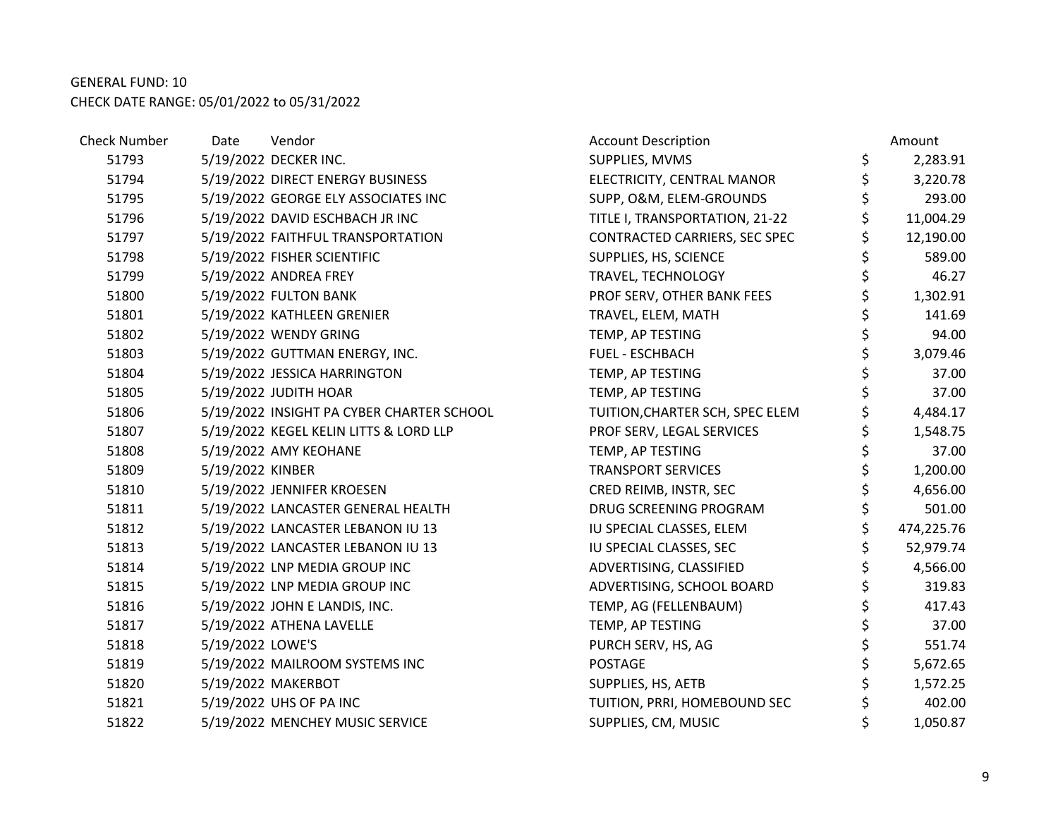| <b>Check Number</b> | Date             | Vendor                                    | <b>Account Description</b>      | Amount           |
|---------------------|------------------|-------------------------------------------|---------------------------------|------------------|
| 51793               |                  | 5/19/2022 DECKER INC.                     | SUPPLIES, MVMS                  | \$<br>2,283.91   |
| 51794               |                  | 5/19/2022 DIRECT ENERGY BUSINESS          | ELECTRICITY, CENTRAL MANOR      | \$<br>3,220.78   |
| 51795               |                  | 5/19/2022 GEORGE ELY ASSOCIATES INC       | SUPP, O&M, ELEM-GROUNDS         | \$<br>293.00     |
| 51796               |                  | 5/19/2022 DAVID ESCHBACH JR INC           | TITLE I, TRANSPORTATION, 21-22  | 11,004.29        |
| 51797               |                  | 5/19/2022 FAITHFUL TRANSPORTATION         | CONTRACTED CARRIERS, SEC SPEC   | \$<br>12,190.00  |
| 51798               |                  | 5/19/2022 FISHER SCIENTIFIC               | SUPPLIES, HS, SCIENCE           | 589.00           |
| 51799               |                  | 5/19/2022 ANDREA FREY                     | TRAVEL, TECHNOLOGY              | \$<br>46.27      |
| 51800               |                  | 5/19/2022 FULTON BANK                     | PROF SERV, OTHER BANK FEES      | \$<br>1,302.91   |
| 51801               |                  | 5/19/2022 KATHLEEN GRENIER                | TRAVEL, ELEM, MATH              | \$<br>141.69     |
| 51802               |                  | 5/19/2022 WENDY GRING                     | TEMP, AP TESTING                | \$<br>94.00      |
| 51803               |                  | 5/19/2022 GUTTMAN ENERGY, INC.            | FUEL - ESCHBACH                 | \$<br>3,079.46   |
| 51804               |                  | 5/19/2022 JESSICA HARRINGTON              | TEMP, AP TESTING                | \$<br>37.00      |
| 51805               |                  | 5/19/2022 JUDITH HOAR                     | TEMP, AP TESTING                | \$<br>37.00      |
| 51806               |                  | 5/19/2022 INSIGHT PA CYBER CHARTER SCHOOL | TUITION, CHARTER SCH, SPEC ELEM | \$<br>4,484.17   |
| 51807               |                  | 5/19/2022 KEGEL KELIN LITTS & LORD LLP    | PROF SERV, LEGAL SERVICES       | \$<br>1,548.75   |
| 51808               |                  | 5/19/2022 AMY KEOHANE                     | TEMP, AP TESTING                | \$<br>37.00      |
| 51809               | 5/19/2022 KINBER |                                           | <b>TRANSPORT SERVICES</b>       | \$<br>1,200.00   |
| 51810               |                  | 5/19/2022 JENNIFER KROESEN                | CRED REIMB, INSTR, SEC          | \$<br>4,656.00   |
| 51811               |                  | 5/19/2022 LANCASTER GENERAL HEALTH        | DRUG SCREENING PROGRAM          | \$<br>501.00     |
| 51812               |                  | 5/19/2022 LANCASTER LEBANON IU 13         | IU SPECIAL CLASSES, ELEM        | \$<br>474,225.76 |
| 51813               |                  | 5/19/2022 LANCASTER LEBANON IU 13         | IU SPECIAL CLASSES, SEC         | \$<br>52,979.74  |
| 51814               |                  | 5/19/2022 LNP MEDIA GROUP INC             | ADVERTISING, CLASSIFIED         | 4,566.00         |
| 51815               |                  | 5/19/2022 LNP MEDIA GROUP INC             | ADVERTISING, SCHOOL BOARD       | \$<br>319.83     |
| 51816               |                  | 5/19/2022 JOHN E LANDIS, INC.             | TEMP, AG (FELLENBAUM)           | \$<br>417.43     |
| 51817               |                  | 5/19/2022 ATHENA LAVELLE                  | TEMP, AP TESTING                | \$<br>37.00      |
| 51818               | 5/19/2022 LOWE'S |                                           | PURCH SERV, HS, AG              | \$<br>551.74     |
| 51819               |                  | 5/19/2022 MAILROOM SYSTEMS INC            | <b>POSTAGE</b>                  | \$<br>5,672.65   |
| 51820               |                  | 5/19/2022 MAKERBOT                        | SUPPLIES, HS, AETB              | \$<br>1,572.25   |
| 51821               |                  | 5/19/2022 UHS OF PA INC                   | TUITION, PRRI, HOMEBOUND SEC    | 402.00           |
| 51822               |                  | 5/19/2022 MENCHEY MUSIC SERVICE           | SUPPLIES, CM, MUSIC             | 1,050.87         |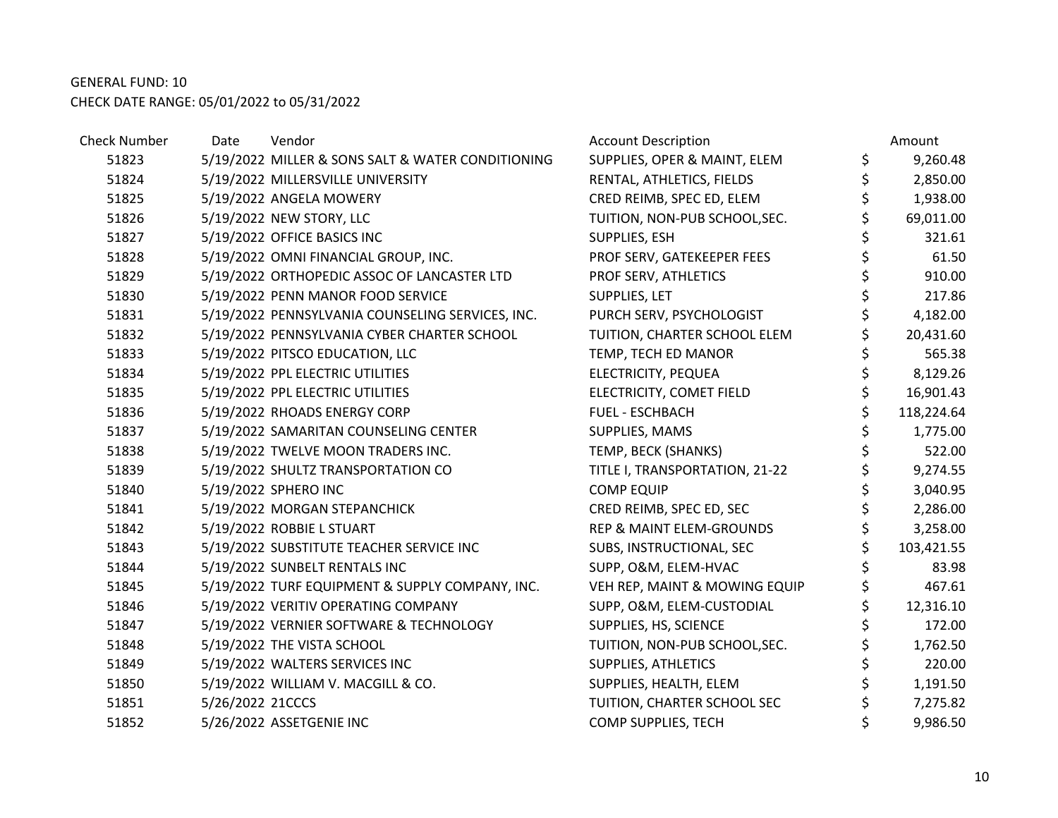| <b>Check Number</b> | Date             | Vendor                                            | <b>Account Description</b>          | Amount           |
|---------------------|------------------|---------------------------------------------------|-------------------------------------|------------------|
| 51823               |                  | 5/19/2022 MILLER & SONS SALT & WATER CONDITIONING | SUPPLIES, OPER & MAINT, ELEM        | \$<br>9,260.48   |
| 51824               |                  | 5/19/2022 MILLERSVILLE UNIVERSITY                 | RENTAL, ATHLETICS, FIELDS           | \$<br>2,850.00   |
| 51825               |                  | 5/19/2022 ANGELA MOWERY                           | CRED REIMB, SPEC ED, ELEM           | 1,938.00         |
| 51826               |                  | 5/19/2022 NEW STORY, LLC                          | TUITION, NON-PUB SCHOOL, SEC.       | 69,011.00        |
| 51827               |                  | 5/19/2022 OFFICE BASICS INC                       | SUPPLIES, ESH                       | \$<br>321.61     |
| 51828               |                  | 5/19/2022 OMNI FINANCIAL GROUP, INC.              | PROF SERV, GATEKEEPER FEES          | \$<br>61.50      |
| 51829               |                  | 5/19/2022 ORTHOPEDIC ASSOC OF LANCASTER LTD       | PROF SERV, ATHLETICS                | \$<br>910.00     |
| 51830               |                  | 5/19/2022 PENN MANOR FOOD SERVICE                 | SUPPLIES, LET                       | 217.86           |
| 51831               |                  | 5/19/2022 PENNSYLVANIA COUNSELING SERVICES, INC.  | PURCH SERV, PSYCHOLOGIST            | \$<br>4,182.00   |
| 51832               |                  | 5/19/2022 PENNSYLVANIA CYBER CHARTER SCHOOL       | TUITION, CHARTER SCHOOL ELEM        | \$<br>20,431.60  |
| 51833               |                  | 5/19/2022 PITSCO EDUCATION, LLC                   | TEMP, TECH ED MANOR                 | 565.38           |
| 51834               |                  | 5/19/2022 PPL ELECTRIC UTILITIES                  | ELECTRICITY, PEQUEA                 | \$<br>8,129.26   |
| 51835               |                  | 5/19/2022 PPL ELECTRIC UTILITIES                  | ELECTRICITY, COMET FIELD            | 16,901.43        |
| 51836               |                  | 5/19/2022 RHOADS ENERGY CORP                      | <b>FUEL - ESCHBACH</b>              | \$<br>118,224.64 |
| 51837               |                  | 5/19/2022 SAMARITAN COUNSELING CENTER             | SUPPLIES, MAMS                      | 1,775.00         |
| 51838               |                  | 5/19/2022 TWELVE MOON TRADERS INC.                | TEMP, BECK (SHANKS)                 | \$<br>522.00     |
| 51839               |                  | 5/19/2022 SHULTZ TRANSPORTATION CO                | TITLE I, TRANSPORTATION, 21-22      | \$<br>9,274.55   |
| 51840               |                  | 5/19/2022 SPHERO INC                              | <b>COMP EQUIP</b>                   | 3,040.95         |
| 51841               |                  | 5/19/2022 MORGAN STEPANCHICK                      | CRED REIMB, SPEC ED, SEC            | \$<br>2,286.00   |
| 51842               |                  | 5/19/2022 ROBBIE L STUART                         | <b>REP &amp; MAINT ELEM-GROUNDS</b> | \$<br>3,258.00   |
| 51843               |                  | 5/19/2022 SUBSTITUTE TEACHER SERVICE INC          | SUBS, INSTRUCTIONAL, SEC            | 103,421.55       |
| 51844               |                  | 5/19/2022 SUNBELT RENTALS INC                     | SUPP, O&M, ELEM-HVAC                | 83.98            |
| 51845               |                  | 5/19/2022 TURF EQUIPMENT & SUPPLY COMPANY, INC.   | VEH REP, MAINT & MOWING EQUIP       | \$<br>467.61     |
| 51846               |                  | 5/19/2022 VERITIV OPERATING COMPANY               | SUPP, O&M, ELEM-CUSTODIAL           | \$<br>12,316.10  |
| 51847               |                  | 5/19/2022 VERNIER SOFTWARE & TECHNOLOGY           | SUPPLIES, HS, SCIENCE               | 172.00           |
| 51848               |                  | 5/19/2022 THE VISTA SCHOOL                        | TUITION, NON-PUB SCHOOL, SEC.       | \$<br>1,762.50   |
| 51849               |                  | 5/19/2022 WALTERS SERVICES INC                    | SUPPLIES, ATHLETICS                 | \$<br>220.00     |
| 51850               |                  | 5/19/2022 WILLIAM V. MACGILL & CO.                | SUPPLIES, HEALTH, ELEM              | \$<br>1,191.50   |
| 51851               | 5/26/2022 21CCCS |                                                   | TUITION, CHARTER SCHOOL SEC         | \$<br>7,275.82   |
| 51852               |                  | 5/26/2022 ASSETGENIE INC                          | COMP SUPPLIES, TECH                 | 9,986.50         |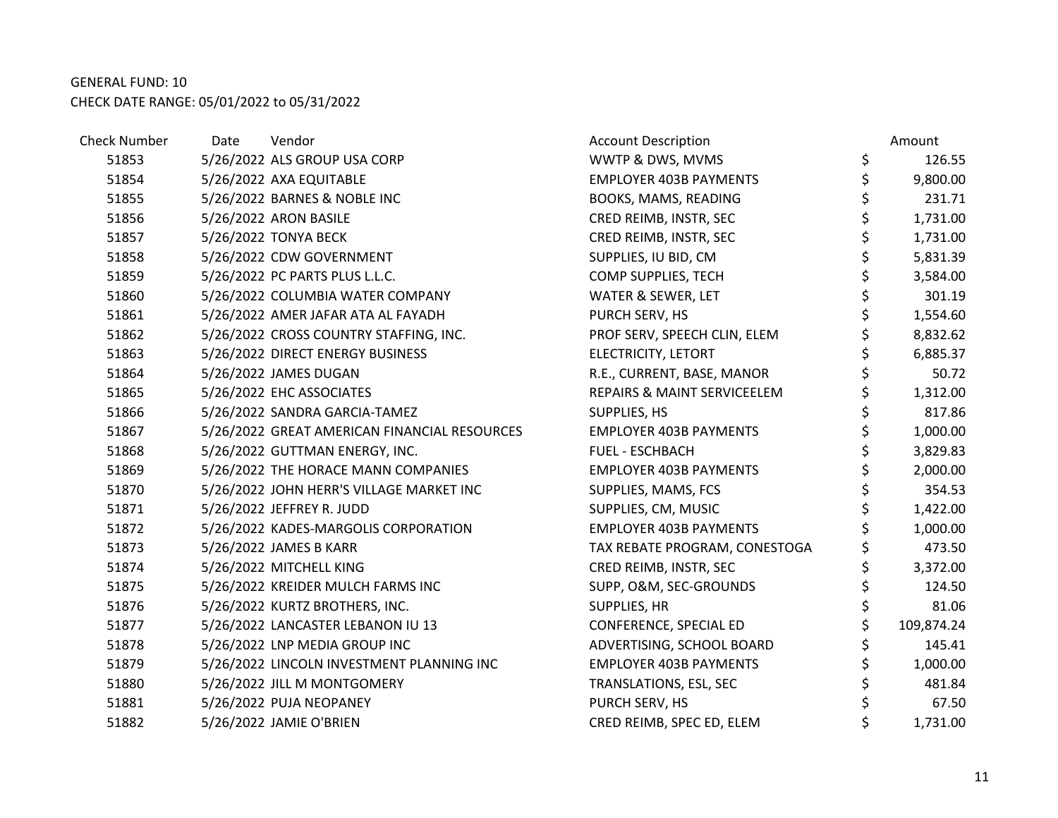| <b>Check Number</b> | Date | Vendor                                       | <b>Account Description</b>    | Amount         |
|---------------------|------|----------------------------------------------|-------------------------------|----------------|
| 51853               |      | 5/26/2022 ALS GROUP USA CORP                 | WWTP & DWS, MVMS              | \$<br>126.55   |
| 51854               |      | 5/26/2022 AXA EQUITABLE                      | <b>EMPLOYER 403B PAYMENTS</b> | \$<br>9,800.00 |
| 51855               |      | 5/26/2022 BARNES & NOBLE INC                 | BOOKS, MAMS, READING          | \$<br>231.71   |
| 51856               |      | 5/26/2022 ARON BASILE                        | CRED REIMB, INSTR, SEC        | \$<br>1,731.00 |
| 51857               |      | 5/26/2022 TONYA BECK                         | CRED REIMB, INSTR, SEC        | \$<br>1,731.00 |
| 51858               |      | 5/26/2022 CDW GOVERNMENT                     | SUPPLIES, IU BID, CM          | \$<br>5,831.39 |
| 51859               |      | 5/26/2022 PC PARTS PLUS L.L.C.               | COMP SUPPLIES, TECH           | \$<br>3,584.00 |
| 51860               |      | 5/26/2022 COLUMBIA WATER COMPANY             | WATER & SEWER, LET            | \$<br>301.19   |
| 51861               |      | 5/26/2022 AMER JAFAR ATA AL FAYADH           | PURCH SERV, HS                | \$<br>1,554.60 |
| 51862               |      | 5/26/2022 CROSS COUNTRY STAFFING, INC.       | PROF SERV, SPEECH CLIN, ELEM  | \$<br>8,832.62 |
| 51863               |      | 5/26/2022 DIRECT ENERGY BUSINESS             | ELECTRICITY, LETORT           | \$<br>6,885.37 |
| 51864               |      | 5/26/2022 JAMES DUGAN                        | R.E., CURRENT, BASE, MANOR    | \$<br>50.72    |
| 51865               |      | 5/26/2022 EHC ASSOCIATES                     | REPAIRS & MAINT SERVICEELEM   | \$<br>1,312.00 |
| 51866               |      | 5/26/2022 SANDRA GARCIA-TAMEZ                | SUPPLIES, HS                  | \$<br>817.86   |
| 51867               |      | 5/26/2022 GREAT AMERICAN FINANCIAL RESOURCES | <b>EMPLOYER 403B PAYMENTS</b> | \$<br>1,000.00 |
| 51868               |      | 5/26/2022 GUTTMAN ENERGY, INC.               | FUEL - ESCHBACH               | \$<br>3,829.83 |
| 51869               |      | 5/26/2022 THE HORACE MANN COMPANIES          | <b>EMPLOYER 403B PAYMENTS</b> | \$<br>2,000.00 |
| 51870               |      | 5/26/2022 JOHN HERR'S VILLAGE MARKET INC     | SUPPLIES, MAMS, FCS           | \$<br>354.53   |
| 51871               |      | 5/26/2022 JEFFREY R. JUDD                    | SUPPLIES, CM, MUSIC           | \$<br>1,422.00 |
| 51872               |      | 5/26/2022 KADES-MARGOLIS CORPORATION         | <b>EMPLOYER 403B PAYMENTS</b> | 1,000.00       |
| 51873               |      | 5/26/2022 JAMES B KARR                       | TAX REBATE PROGRAM, CONESTOGA | \$<br>473.50   |
| 51874               |      | 5/26/2022 MITCHELL KING                      | CRED REIMB, INSTR, SEC        | \$<br>3,372.00 |
| 51875               |      | 5/26/2022 KREIDER MULCH FARMS INC            | SUPP, O&M, SEC-GROUNDS        | \$<br>124.50   |
| 51876               |      | 5/26/2022 KURTZ BROTHERS, INC.               | SUPPLIES, HR                  | \$<br>81.06    |
| 51877               |      | 5/26/2022 LANCASTER LEBANON IU 13            | CONFERENCE, SPECIAL ED        | 109,874.24     |
| 51878               |      | 5/26/2022 LNP MEDIA GROUP INC                | ADVERTISING, SCHOOL BOARD     | 145.41         |
| 51879               |      | 5/26/2022 LINCOLN INVESTMENT PLANNING INC    | <b>EMPLOYER 403B PAYMENTS</b> | \$<br>1,000.00 |
| 51880               |      | 5/26/2022 JILL M MONTGOMERY                  | TRANSLATIONS, ESL, SEC        | \$<br>481.84   |
| 51881               |      | 5/26/2022 PUJA NEOPANEY                      | PURCH SERV, HS                | \$<br>67.50    |
| 51882               |      | 5/26/2022 JAMIE O'BRIEN                      | CRED REIMB, SPEC ED, ELEM     | 1,731.00       |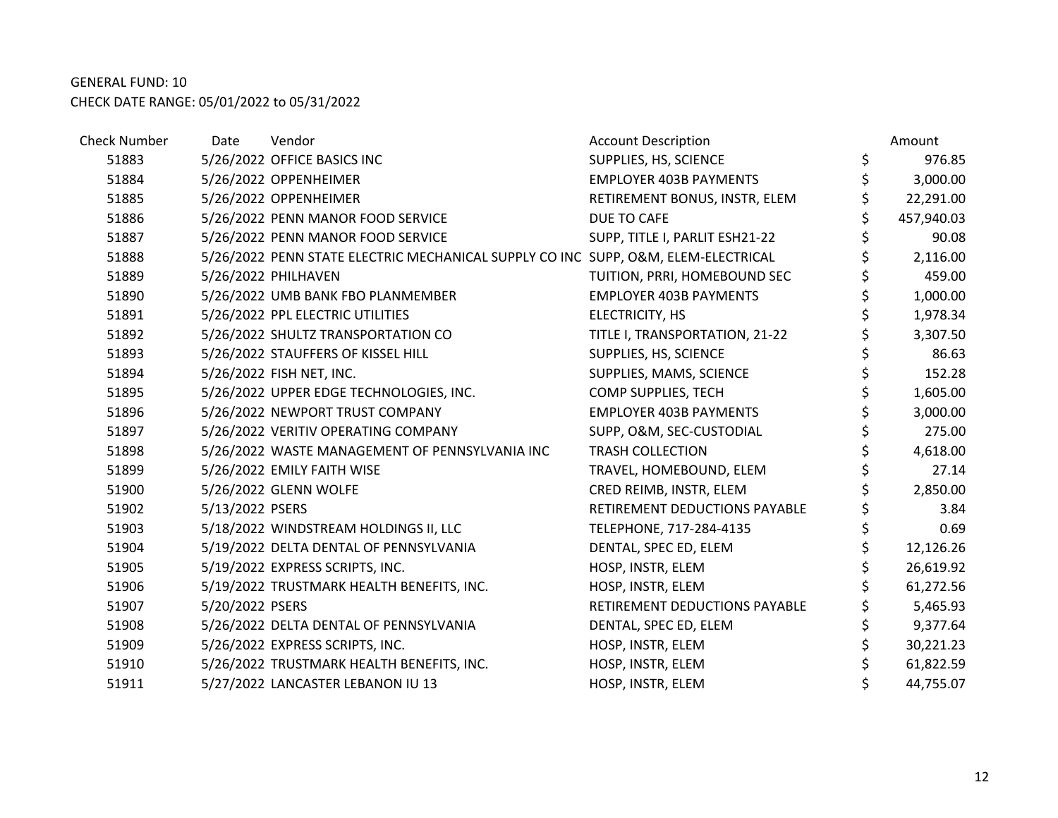| <b>Check Number</b> | Date            | Vendor                                                                            | <b>Account Description</b>     | Amount          |
|---------------------|-----------------|-----------------------------------------------------------------------------------|--------------------------------|-----------------|
| 51883               |                 | 5/26/2022 OFFICE BASICS INC                                                       | SUPPLIES, HS, SCIENCE          | \$<br>976.85    |
| 51884               |                 | 5/26/2022 OPPENHEIMER                                                             | <b>EMPLOYER 403B PAYMENTS</b>  | 3,000.00        |
| 51885               |                 | 5/26/2022 OPPENHEIMER                                                             | RETIREMENT BONUS, INSTR, ELEM  | \$<br>22,291.00 |
| 51886               |                 | 5/26/2022 PENN MANOR FOOD SERVICE                                                 | DUE TO CAFE                    | 457,940.03      |
| 51887               |                 | 5/26/2022 PENN MANOR FOOD SERVICE                                                 | SUPP, TITLE I, PARLIT ESH21-22 | 90.08           |
| 51888               |                 | 5/26/2022 PENN STATE ELECTRIC MECHANICAL SUPPLY CO INC SUPP, O&M, ELEM-ELECTRICAL |                                | \$<br>2,116.00  |
| 51889               |                 | 5/26/2022 PHILHAVEN                                                               | TUITION, PRRI, HOMEBOUND SEC   | 459.00          |
| 51890               |                 | 5/26/2022 UMB BANK FBO PLANMEMBER                                                 | EMPLOYER 403B PAYMENTS         | \$<br>1,000.00  |
| 51891               |                 | 5/26/2022 PPL ELECTRIC UTILITIES                                                  | ELECTRICITY, HS                | 1,978.34        |
| 51892               |                 | 5/26/2022 SHULTZ TRANSPORTATION CO                                                | TITLE I, TRANSPORTATION, 21-22 | 3,307.50        |
| 51893               |                 | 5/26/2022 STAUFFERS OF KISSEL HILL                                                | SUPPLIES, HS, SCIENCE          | \$<br>86.63     |
| 51894               |                 | 5/26/2022 FISH NET, INC.                                                          | SUPPLIES, MAMS, SCIENCE        | \$<br>152.28    |
| 51895               |                 | 5/26/2022 UPPER EDGE TECHNOLOGIES, INC.                                           | COMP SUPPLIES, TECH            | \$<br>1,605.00  |
| 51896               |                 | 5/26/2022 NEWPORT TRUST COMPANY                                                   | <b>EMPLOYER 403B PAYMENTS</b>  | \$<br>3,000.00  |
| 51897               |                 | 5/26/2022 VERITIV OPERATING COMPANY                                               | SUPP, O&M, SEC-CUSTODIAL       | \$<br>275.00    |
| 51898               |                 | 5/26/2022 WASTE MANAGEMENT OF PENNSYLVANIA INC                                    | <b>TRASH COLLECTION</b>        | 4,618.00        |
| 51899               |                 | 5/26/2022 EMILY FAITH WISE                                                        | TRAVEL, HOMEBOUND, ELEM        | 27.14           |
| 51900               |                 | 5/26/2022 GLENN WOLFE                                                             | CRED REIMB, INSTR, ELEM        | 2,850.00        |
| 51902               | 5/13/2022 PSERS |                                                                                   | RETIREMENT DEDUCTIONS PAYABLE  | 3.84            |
| 51903               |                 | 5/18/2022 WINDSTREAM HOLDINGS II, LLC                                             | TELEPHONE, 717-284-4135        | \$<br>0.69      |
| 51904               |                 | 5/19/2022 DELTA DENTAL OF PENNSYLVANIA                                            | DENTAL, SPEC ED, ELEM          | 12,126.26       |
| 51905               |                 | 5/19/2022 EXPRESS SCRIPTS, INC.                                                   | HOSP, INSTR, ELEM              | 26,619.92       |
| 51906               |                 | 5/19/2022 TRUSTMARK HEALTH BENEFITS, INC.                                         | HOSP, INSTR, ELEM              | 61,272.56       |
| 51907               | 5/20/2022 PSERS |                                                                                   | RETIREMENT DEDUCTIONS PAYABLE  | 5,465.93        |
| 51908               |                 | 5/26/2022 DELTA DENTAL OF PENNSYLVANIA                                            | DENTAL, SPEC ED, ELEM          | \$<br>9,377.64  |
| 51909               |                 | 5/26/2022 EXPRESS SCRIPTS, INC.                                                   | HOSP, INSTR, ELEM              | 30,221.23       |
| 51910               |                 | 5/26/2022 TRUSTMARK HEALTH BENEFITS, INC.                                         | HOSP, INSTR, ELEM              | 61,822.59       |
| 51911               |                 | 5/27/2022 LANCASTER LEBANON IU 13                                                 | HOSP, INSTR, ELEM              | 44,755.07       |